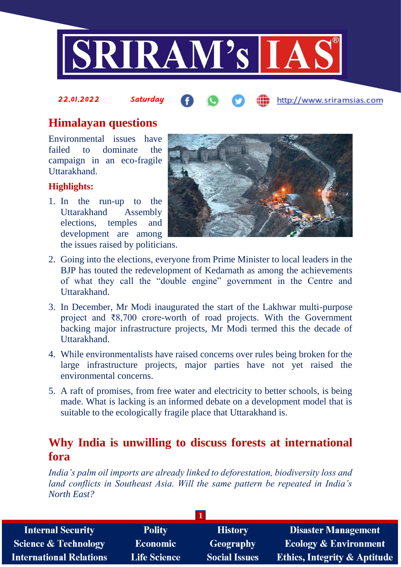

#### 22.01.2022 Saturday http://www.sriramsias.com

# **Himalayan questions**

Environmental issues have failed to dominate the campaign in an eco-fragile Uttarakhand.

## **Highlights:**

1. In the run-up to the Uttarakhand Assembly elections, temples and development are among the issues raised by politicians.



- 2. Going into the elections, everyone from Prime Minister to local leaders in the BJP has touted the redevelopment of Kedarnath as among the achievements of what they call the "double engine" government in the Centre and Uttarakhand.
- 3. In December, Mr Modi inaugurated the start of the Lakhwar multi-purpose project and ₹8,700 crore-worth of road projects. With the Government backing major infrastructure projects, Mr Modi termed this the decade of Uttarakhand.
- 4. While environmentalists have raised concerns over rules being broken for the large infrastructure projects, major parties have not yet raised the environmental concerns.
- 5. A raft of promises, from free water and electricity to better schools, is being made. What is lacking is an informed debate on a development model that is suitable to the ecologically fragile place that Uttarakhand is.

# **Why India is unwilling to discuss forests at international fora**

*India's palm oil imports are already linked to deforestation, biodiversity loss and land conflicts in Southeast Asia. Will the same pattern be repeated in India's North East?*

| <b>Internal Security</b>        | <b>Polity</b>       | <b>History</b>       | <b>Disaster Management</b>              |
|---------------------------------|---------------------|----------------------|-----------------------------------------|
| <b>Science &amp; Technology</b> | <b>Economic</b>     | <b>Geography</b>     | <b>Ecology &amp; Environment</b>        |
| <b>International Relations</b>  | <b>Life Science</b> | <b>Social Issues</b> | <b>Ethics, Integrity &amp; Aptitude</b> |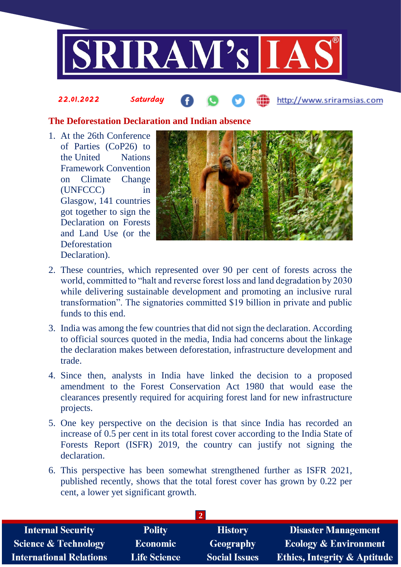

#### **The Deforestation Declaration and Indian absence**

1. At the 26th Conference of Parties (CoP26) to the United Nations Framework Convention on Climate Change (UNFCCC) in Glasgow, 141 countries got together to sign the Declaration on Forests and Land Use (or the **Deforestation** Declaration).

22.01.2022 Saturday



http://www.sriramsias.com

- 2. These countries, which represented over 90 per cent of forests across the world, committed to "halt and reverse forest loss and land degradation by 2030 while delivering sustainable development and promoting an inclusive rural transformation". The signatories committed \$19 billion in private and public funds to this end.
- 3. India was among the few countries that did not sign the declaration. According to official sources quoted in the media, India had concerns about the linkage the declaration makes between deforestation, infrastructure development and trade.
- 4. Since then, analysts in India have linked the decision to a proposed amendment to the Forest Conservation Act 1980 that would ease the clearances presently required for acquiring forest land for new infrastructure projects.
- 5. One key perspective on the decision is that since India has recorded an increase of 0.5 per cent in its total forest cover according to the India State of Forests Report (ISFR) 2019, the country can justify not signing the declaration.
- 6. This perspective has been somewhat strengthened further as ISFR 2021, published recently, shows that the total forest cover has grown by 0.22 per cent, a lower yet significant growth.

| <b>Disaster Management</b>                                      |  |  |  |  |  |  |
|-----------------------------------------------------------------|--|--|--|--|--|--|
| <b>Ecology &amp; Environment</b>                                |  |  |  |  |  |  |
| <b>Ethics, Integrity &amp; Aptitude</b><br><b>Social Issues</b> |  |  |  |  |  |  |
|                                                                 |  |  |  |  |  |  |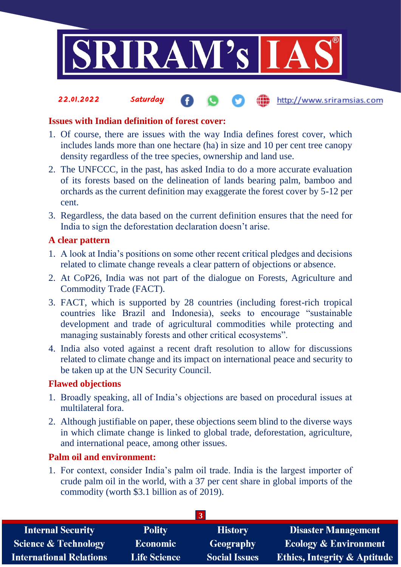

**fin** http://www.sriramsias.com

#### **Issues with Indian definition of forest cover:**

22.01.2022 Saturday

- 1. Of course, there are issues with the way India defines forest cover, which includes lands more than one hectare (ha) in size and 10 per cent tree canopy density regardless of the tree species, ownership and land use.
- 2. The UNFCCC, in the past, has asked India to do a more accurate evaluation of its forests based on the delineation of lands bearing palm, bamboo and orchards as the current definition may exaggerate the forest cover by 5-12 per cent.
- 3. Regardless, the data based on the current definition ensures that the need for India to sign the deforestation declaration doesn't arise.

#### **A clear pattern**

- 1. A look at India's positions on some other recent critical pledges and decisions related to climate change reveals a clear pattern of objections or absence.
- 2. At CoP26, India was not part of the dialogue on Forests, Agriculture and Commodity Trade (FACT).
- 3. FACT, which is supported by 28 countries (including forest-rich tropical countries like Brazil and Indonesia), seeks to encourage "sustainable development and trade of agricultural commodities while protecting and managing sustainably forests and other critical ecosystems".
- 4. India also voted against a recent draft resolution to allow for discussions related to climate change and its impact on international peace and security to be taken up at the UN Security Council.

#### **Flawed objections**

- 1. Broadly speaking, all of India's objections are based on procedural issues at multilateral fora.
- 2. Although justifiable on paper, these objections seem blind to the diverse ways in which climate change is linked to global trade, deforestation, agriculture, and international peace, among other issues.

#### **Palm oil and environment:**

1. For context, consider India's palm oil trade. India is the largest importer of crude palm oil in the world, with a 37 per cent share in global imports of the commodity (worth \$3.1 billion as of 2019).

| <b>Internal Security</b>        | <b>Polity</b>       | <b>History</b>       | <b>Disaster Management</b>              |  |  |  |
|---------------------------------|---------------------|----------------------|-----------------------------------------|--|--|--|
| <b>Science &amp; Technology</b> | <b>Economic</b>     | Geography            | <b>Ecology &amp; Environment</b>        |  |  |  |
| <b>International Relations</b>  | <b>Life Science</b> | <b>Social Issues</b> | <b>Ethics, Integrity &amp; Aptitude</b> |  |  |  |
|                                 |                     |                      |                                         |  |  |  |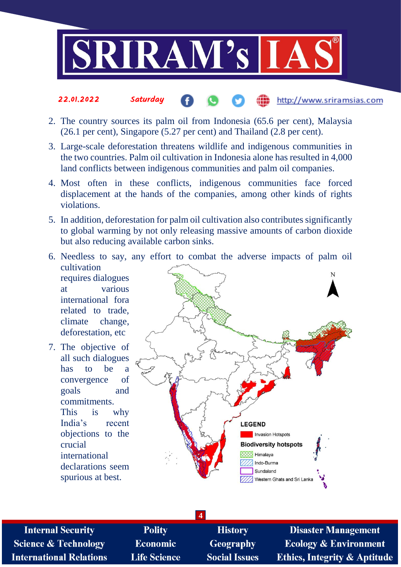

#### 22.01.2022 Saturday http://www.sriramsias.com

- 2. The country sources its palm oil from Indonesia (65.6 per cent), Malaysia (26.1 per cent), Singapore (5.27 per cent) and Thailand (2.8 per cent).
- 3. Large-scale deforestation threatens wildlife and indigenous communities in the two countries. Palm oil cultivation in Indonesia alone has resulted in 4,000 land conflicts between indigenous communities and palm oil companies.
- 4. Most often in these conflicts, indigenous communities face forced displacement at the hands of the companies, among other kinds of rights violations.
- 5. In addition, deforestation for palm oil cultivation also contributes significantly to global warming by not only releasing massive amounts of carbon dioxide but also reducing available carbon sinks.
- 6. Needless to say, any effort to combat the adverse impacts of palm oil cultivation requires dialogues at various international fora related to trade, climate change, deforestation, etc. 7. The objective of
- all such dialogues has to be a convergence of goals and commitments. This is why India's recent objections to the crucial international declarations seem spurious at best.



**Internal Security Science & Technology International Relations** 

**Polity Economic Life Science** 

**History Geography Social Issues** 

**4**

**Disaster Management Ecology & Environment Ethics, Integrity & Aptitude**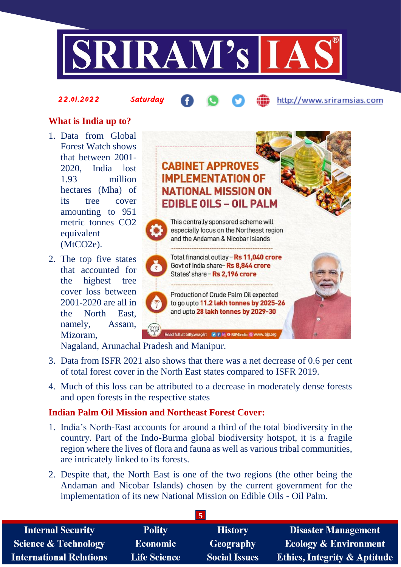

#### 22.01.2022 Saturday

http://www.sriramsias.com

## **What is India up to?**

- 1. Data from Global Forest Watch shows that between 2001- 2020, India lost 1.93 million hectares (Mha) of its tree cover amounting to 951 metric tonnes CO2 equivalent (MtCO2e).
- 2. The top five states that accounted for the highest tree cover loss between 2001-2020 are all in the North East, namely, Assam, Mizoram,



Nagaland, Arunachal Pradesh and Manipur.

- 3. Data from ISFR 2021 also shows that there was a net decrease of 0.6 per cent of total forest cover in the North East states compared to ISFR 2019.
- 4. Much of this loss can be attributed to a decrease in moderately dense forests and open forests in the respective states

### **Indian Palm Oil Mission and Northeast Forest Cover:**

- 1. India's North-East accounts for around a third of the total biodiversity in the country. Part of the Indo-Burma global biodiversity hotspot, it is a fragile region where the lives of flora and fauna as well as various tribal communities, are intricately linked to its forests.
- 2. Despite that, the North East is one of the two regions (the other being the Andaman and Nicobar Islands) chosen by the current government for the implementation of its new National Mission on Edible Oils - Oil Palm.

| <b>Internal Security</b>        | <b>Polity</b>       | <b>History</b>       | <b>Disaster Management</b>              |  |  |
|---------------------------------|---------------------|----------------------|-----------------------------------------|--|--|
| <b>Science &amp; Technology</b> | <b>Economic</b>     | Geography            | <b>Ecology &amp; Environment</b>        |  |  |
| <b>International Relations</b>  | <b>Life Science</b> | <b>Social Issues</b> | <b>Ethics, Integrity &amp; Aptitude</b> |  |  |